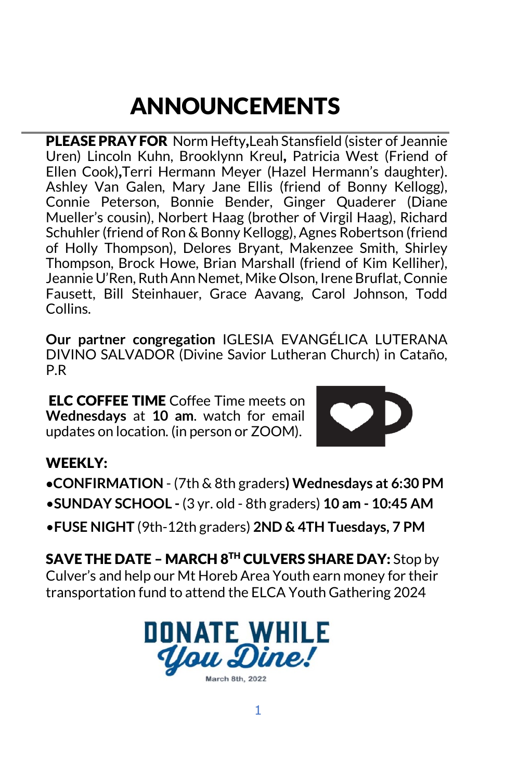# ANNOUNCEMENTS

PLEASE PRAY FOR Norm Hefty,Leah Stansfield (sister of Jeannie Uren) Lincoln Kuhn, Brooklynn Kreul, Patricia West (Friend of Ellen Cook),Terri Hermann Meyer (Hazel Hermann's daughter). Ashley Van Galen, Mary Jane Ellis (friend of Bonny Kellogg), Connie Peterson, Bonnie Bender, Ginger Quaderer (Diane Mueller's cousin), Norbert Haag (brother of Virgil Haag), Richard Schuhler (friend of Ron & Bonny Kellogg), Agnes Robertson (friend of Holly Thompson), Delores Bryant, Makenzee Smith, Shirley Thompson, Brock Howe, Brian Marshall (friend of Kim Kelliher), Jeannie U'Ren, Ruth Ann Nemet, Mike Olson, Irene Bruflat, Connie Fausett, Bill Steinhauer, Grace Aavang, Carol Johnson, Todd Collins.

**Our partner congregation** IGLESIA EVANGÉLICA LUTERANA DIVINO SALVADOR (Divine Savior Lutheran Church) in Cataño, P.R

ELC COFFEE TIME Coffee Time meets on **Wednesdays** at **10 am**. watch for email updates on location. (in person or ZOOM).



### WEEKLY:

- **•CONFIRMATION** (7th & 8th graders**) Wednesdays at 6:30 PM** •**SUNDAY SCHOOL -** (3 yr. old - 8th graders) **10 am - 10:45 AM**
- •**FUSE NIGHT** (9th-12th graders) **2ND & 4TH Tuesdays, 7 PM**

SAVE THE DATE – MARCH 8TH CULVERS SHARE DAY: Stop by Culver's and help our Mt Horeb Area Youth earn money for their transportation fund to attend the ELCA Youth Gathering 2024

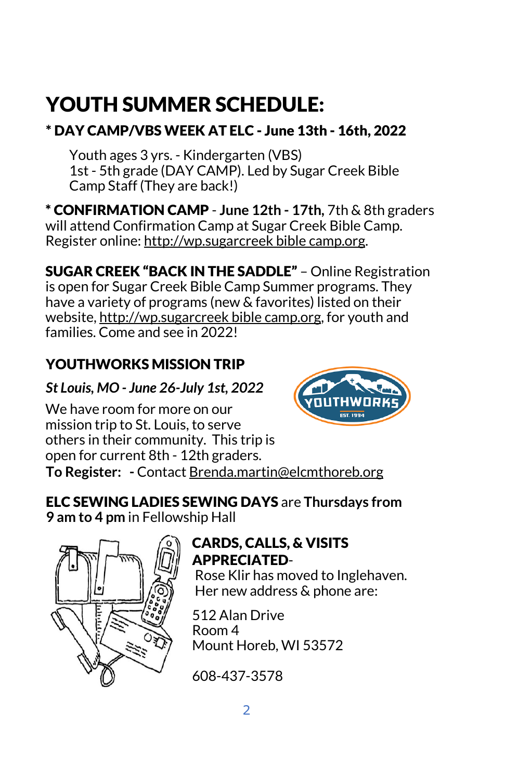# YOUTH SUMMER SCHEDULE:

## \* DAY CAMP/VBS WEEK AT ELC - June 13th - 16th, 2022

Youth ages 3 yrs. - Kindergarten (VBS) 1st - 5th grade (DAY CAMP). Led by Sugar Creek Bible Camp Staff (They are back!)

\* CONFIRMATION CAMP - **June 12th - 17th,** 7th & 8th graders will attend Confirmation Camp at Sugar Creek Bible Camp. Register onlin[e:](about:blank) [http://wp.sugarcreek bible camp.org.](about:blank) 

SUGAR CREEK "BACK IN THE SADDLE" – Online Registration is open for Sugar Creek Bible Camp Summer programs. They have a variety of programs (new & favorites) listed on their website, [http://wp.sugarcreek bible camp.org,](about:blank) for youth and families. Come and see in 2022!

## YOUTHWORKS MISSION TRIP

*St Louis, MO - June 26-July 1st, 2022*



We have room for more on our mission trip to St. Louis, to serve others in their community. This trip is open for current 8th - 12th graders. **To Register: -** Contact Brenda.martin@elcmthoreb.org

### ELC SEWING LADIES SEWING DAYS are **Thursdays from 9 am to 4 pm** in Fellowship Hall



## CARDS, CALLS, & VISITS APPRECIATED-

Rose Klir has moved to Inglehaven. Her new address & phone are:

512 Alan Drive Room 4 Mount Horeb, WI 53572

608-437-3578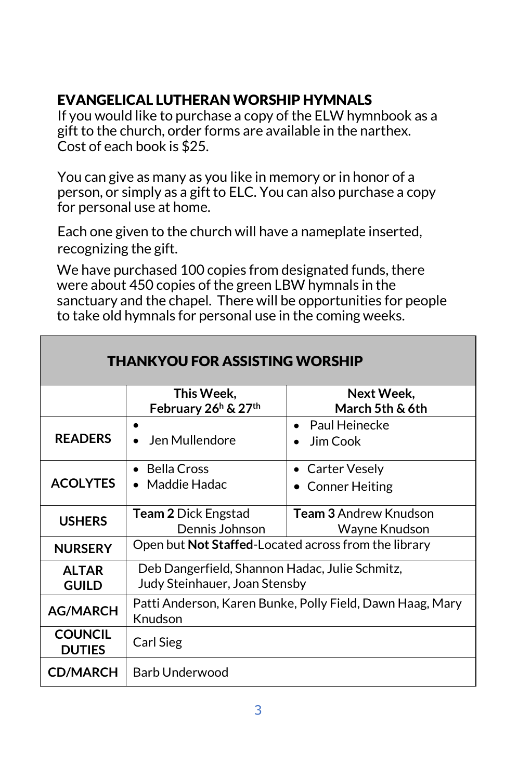### EVANGELICAL LUTHERAN WORSHIP HYMNALS

If you would like to purchase a copy of the ELW hymnbook as a gift to the church, order forms are available in the narthex. Cost of each book is \$25.

You can give as many as you like in memory or in honor of a person, or simply as a gift to ELC. You can also purchase a copy for personal use at home.

Each one given to the church will have a nameplate inserted, recognizing the gift.

We have purchased 100 copies from designated funds, there were about 450 copies of the green LBW hymnals in the sanctuary and the chapel. There will be opportunities for people to take old hymnals for personal use in the coming weeks.

| <b>THANKYOU FOR ASSISTING WORSHIP</b> |                                                                                 |                                               |
|---------------------------------------|---------------------------------------------------------------------------------|-----------------------------------------------|
|                                       | This Week,<br>February 26 <sup>h</sup> & 27 <sup>th</sup>                       | Next Week,<br>March 5th & 6th                 |
| <b>READERS</b>                        | Jen Mullendore                                                                  | $\bullet$ Paul Heinecke<br>Jim Cook           |
| <b>ACOLYTES</b>                       | <b>Bella Cross</b><br>Maddie Hadac                                              | • Carter Vesely<br><b>Conner Heiting</b>      |
| <b>USHERS</b>                         | <b>Team 2 Dick Engstad</b><br>Dennis Johnson                                    | <b>Team 3 Andrew Knudson</b><br>Wayne Knudson |
| <b>NURSERY</b>                        | Open but Not Staffed-Located across from the library                            |                                               |
| <b>ALTAR</b><br><b>GUILD</b>          | Deb Dangerfield, Shannon Hadac, Julie Schmitz,<br>Judy Steinhauer, Joan Stensby |                                               |
| <b>AG/MARCH</b>                       | Patti Anderson, Karen Bunke, Polly Field, Dawn Haag, Mary<br>Knudson            |                                               |
| <b>COUNCIL</b><br><b>DUTIES</b>       | Carl Sieg                                                                       |                                               |
| <b>CD/MARCH</b>                       | Barb Underwood                                                                  |                                               |